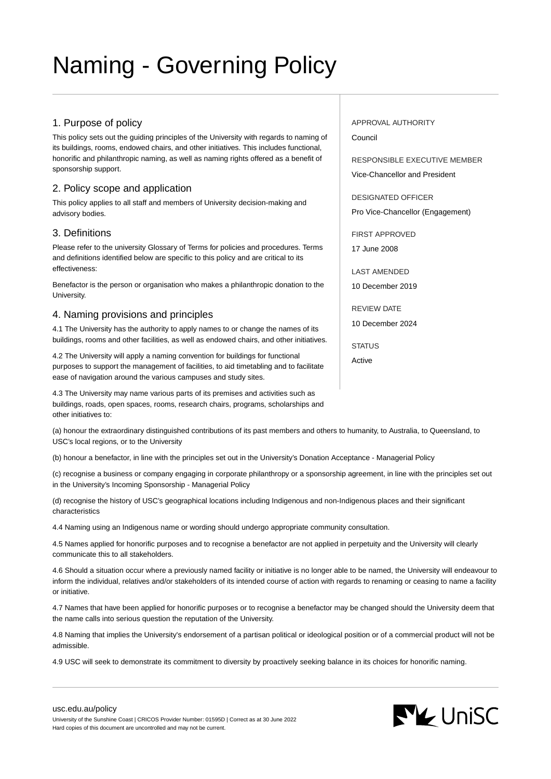# Naming - Governing Policy

#### 1. Purpose of policy

This policy sets out the guiding principles of the University with regards to naming of its buildings, rooms, endowed chairs, and other initiatives. This includes functional, honorific and philanthropic naming, as well as naming rights offered as a benefit of sponsorship support.

#### 2. Policy scope and application

This policy applies to all staff and members of University decision-making and advisory bodies.

### 3. Definitions

Please refer to the university Glossary of Terms for policies and procedures. Terms and definitions identified below are specific to this policy and are critical to its effectiveness:

Benefactor is the person or organisation who makes a philanthropic donation to the University.

#### 4. Naming provisions and principles

4.1 The University has the authority to apply names to or change the names of its buildings, rooms and other facilities, as well as endowed chairs, and other initiatives.

4.2 The University will apply a naming convention for buildings for functional purposes to support the management of facilities, to aid timetabling and to facilitate ease of navigation around the various campuses and study sites.

4.3 The University may name various parts of its premises and activities such as buildings, roads, open spaces, rooms, research chairs, programs, scholarships and other initiatives to:

(a) honour the extraordinary distinguished contributions of its past members and others to humanity, to Australia, to Queensland, to USC's local regions, or to the University

(b) honour a benefactor, in line with the principles set out in the University's Donation Acceptance - Managerial Policy

(c) recognise a business or company engaging in corporate philanthropy or a sponsorship agreement, in line with the principles set out in the University's Incoming Sponsorship - Managerial Policy

(d) recognise the history of USC's geographical locations including Indigenous and non-Indigenous places and their significant characteristics

4.4 Naming using an Indigenous name or wording should undergo appropriate community consultation.

4.5 Names applied for honorific purposes and to recognise a benefactor are not applied in perpetuity and the University will clearly communicate this to all stakeholders.

4.6 Should a situation occur where a previously named facility or initiative is no longer able to be named, the University will endeavour to inform the individual, relatives and/or stakeholders of its intended course of action with regards to renaming or ceasing to name a facility or initiative.

4.7 Names that have been applied for honorific purposes or to recognise a benefactor may be changed should the University deem that the name calls into serious question the reputation of the University.

4.8 Naming that implies the University's endorsement of a partisan political or ideological position or of a commercial product will not be admissible.

4.9 USC will seek to demonstrate its commitment to diversity by proactively seeking balance in its choices for honorific naming.

## APPROVAL AUTHORITY

Council

RESPONSIBLE EXECUTIVE MEMBER Vice-Chancellor and President

DESIGNATED OFFICER Pro Vice-Chancellor (Engagement)

FIRST APPROVED 17 June 2008

LAST AMENDED

10 December 2019

REVIEW DATE 10 December 2024

**STATUS** Active